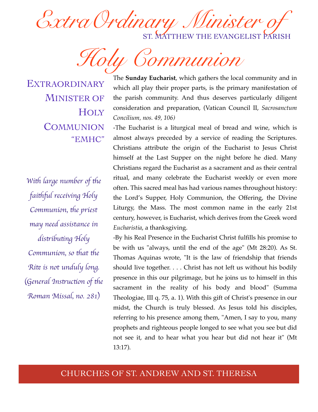Extra Ordinary Minister ST. MATTHEW THE EVANGELIST PARISH

*Holy Communion*

EXTRAORDINARY MINISTER OF **HOLY COMMUNION** "EMHC"

*With large number of the fai*!"*l receiving Holy Communion, the priest may need assistance in*   $d$ *istributing Holy Communion, so that the Ri*% *is not unduly long.* (*General Ins*#*uc*\$*on of* !*e Roman Missal, no. 281*)

The **Sunday Eucharist**, which gathers the local community and in which all play their proper parts, is the primary manifestation of the parish community. And thus deserves particularly diligent consideration and preparation, (Vatican Council II, *Sacrosanctum Concilium, nos. 49, 106)*

*-*The Eucharist is a liturgical meal of bread and wine, which is almost always preceded by a service of reading the Scriptures. Christians attribute the origin of the Eucharist to Jesus Christ himself at the Last Supper on the night before he died. Many Christians regard the Eucharist as a sacrament and as their central ritual, and many celebrate the Eucharist weekly or even more often. This sacred meal has had various names throughout history: the Lord's Supper, Holy Communion, the Offering, the Divine Liturgy, the Mass. The most common name in the early 21st century, however, is Eucharist, which derives from the Greek word *Eucharistia*, a thanksgiving.

-By his Real Presence in the Eucharist Christ fulfills his promise to be with us "always, until the end of the age" (Mt 28:20). As St. Thomas Aquinas wrote, "It is the law of friendship that friends should live together. . . . Christ has not left us without his bodily presence in this our pilgrimage, but he joins us to himself in this sacrament in the reality of his body and blood" (Summa Theologiae, III q. 75, a. 1). With this gift of Christ's presence in our midst, the Church is truly blessed. As Jesus told his disciples, referring to his presence among them, "Amen, I say to you, many prophets and righteous people longed to see what you see but did not see it, and to hear what you hear but did not hear it" (Mt 13:17).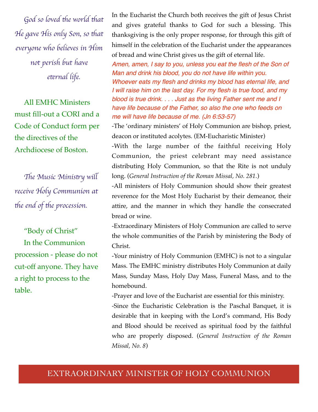God so loved the world that *He gave His only Son, so that everyone who believes in Him not perish but have e*%*rnal life.*

All EMHC Ministers must fill-out a CORI and a Code of Conduct form per the directives of the Archdiocese of Boston.

The Music Ministry will *receive Holy Communion at the end of the procession.* 

"Body of Christ" In the Communion procession - please do not cut-off anyone. They have a right to process to the table.

In the Eucharist the Church both receives the gift of Jesus Christ and gives grateful thanks to God for such a blessing. This thanksgiving is the only proper response, for through this gift of himself in the celebration of the Eucharist under the appearances of bread and wine Christ gives us the gift of eternal life.

*Amen, amen, I say to you, unless you eat the flesh of the Son of Man and drink his blood, you do not have life within you. Whoever eats my flesh and drinks my blood has eternal life, and I will raise him on the last day. For my flesh is true food, and my blood is true drink. . . . Just as the living Father sent me and I have life because of the Father, so also the one who feeds on me will have life because of me. (Jn 6:53-57)*

-The 'ordinary ministers' of Holy Communion are bishop, priest, deacon or instituted acolytes. (EM-Eucharistic Minister)

-With the large number of the faithful receiving Holy Communion, the priest celebrant may need assistance distributing Holy Communion, so that the Rite is not unduly long. (*General Instruction of the Roman Missal, No. 281.*)

-All ministers of Holy Communion should show their greatest reverence for the Most Holy Eucharist by their demeanor, their attire, and the manner in which they handle the consecrated bread or wine.

-Extraordinary Ministers of Holy Communion are called to serve the whole communities of the Parish by ministering the Body of Christ.

-Your ministry of Holy Communion (EMHC) is not to a singular Mass. The EMHC ministry distributes Holy Communion at daily Mass, Sunday Mass, Holy Day Mass, Funeral Mass, and to the homebound.

-Prayer and love of the Eucharist are essential for this ministry. -Since the Eucharistic Celebration is the Paschal Banquet, it is desirable that in keeping with the Lord's command, His Body and Blood should be received as spiritual food by the faithful who are properly disposed. (*General Instruction of the Roman Missal, No. 8*)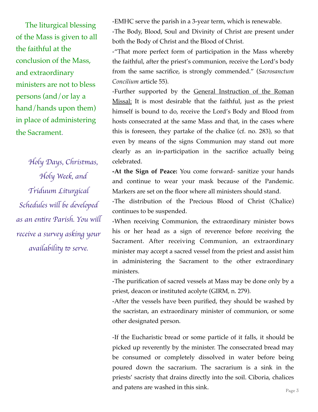The liturgical blessing of the Mass is given to all the faithful at the conclusion of the Mass, and extraordinary ministers are not to bless persons (and/or lay a hand/hands upon them) in place of administering the Sacrament*.* 

*Holy Days, Christmas, Holy Week, and Triduum Liturgical Schedules will be developed*  $a$ s an entire Parish. You will *receive a survey asking your availability to serve.* 

-EMHC serve the parish in a 3-year term, which is renewable.

-The Body, Blood, Soul and Divinity of Christ are present under both the Body of Christ and the Blood of Christ.

-"That more perfect form of participation in the Mass whereby the faithful, after the priest's communion, receive the Lord's body from the same sacrifice, is strongly commended." (*Sacrosanctum Concilium* article 55).

-Further supported by the General Instruction of the Roman Missal: It is most desirable that the faithful, just as the priest himself is bound to do, receive the Lord's Body and Blood from hosts consecrated at the same Mass and that, in the cases where this is foreseen, they partake of the chalice (cf. no. 283), so that even by means of the signs Communion may stand out more clearly as an in-participation in the sacrifice actually being celebrated.

**-At the Sign of Peace:** You come forward- sanitize your hands and continue to wear your mask because of the Pandemic. Markers are set on the floor where all ministers should stand.

-The distribution of the Precious Blood of Christ (Chalice) continues to be suspended.

-When receiving Communion, the extraordinary minister bows his or her head as a sign of reverence before receiving the Sacrament. After receiving Communion, an extraordinary minister may accept a sacred vessel from the priest and assist him in administering the Sacrament to the other extraordinary ministers.

-The purification of sacred vessels at Mass may be done only by a priest, deacon or instituted acolyte (GIRM, n. 279).

-After the vessels have been purified, they should be washed by the sacristan, an extraordinary minister of communion, or some other designated person.

-If the Eucharistic bread or some particle of it falls, it should be picked up reverently by the minister. The consecrated bread may be consumed or completely dissolved in water before being poured down the sacrarium. The sacrarium is a sink in the priests' sacristy that drains directly into the soil. Ciboria, chalices and patens are washed in this sink.